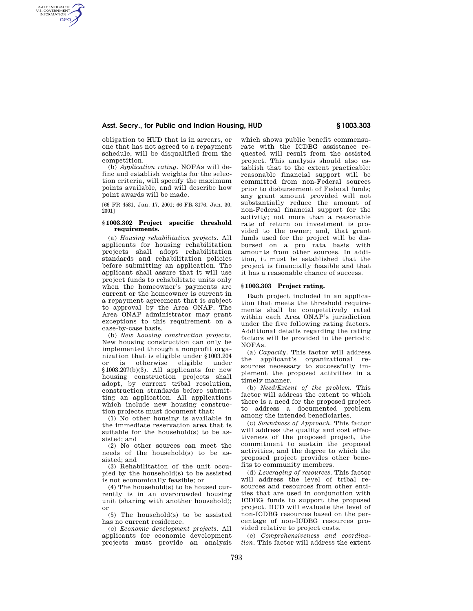# **Asst. Secry., for Public and Indian Housing, HUD § 1003.303**

obligation to HUD that is in arrears, or one that has not agreed to a repayment schedule, will be disqualified from the competition.

AUTHENTICATED<br>U.S. GOVERNMENT<br>INFORMATION **GPO** 

> (b) *Application rating.* NOFAs will define and establish weights for the selection criteria, will specify the maximum points available, and will describe how point awards will be made.

> [66 FR 4581, Jan. 17, 2001; 66 FR 8176, Jan. 30, 2001]

#### **§ 1003.302 Project specific threshold requirements.**

(a) *Housing rehabilitation projects.* All applicants for housing rehabilitation projects shall adopt rehabilitation standards and rehabilitation policies before submitting an application. The applicant shall assure that it will use project funds to rehabilitate units only when the homeowner's payments are current or the homeowner is current in a repayment agreement that is subject to approval by the Area ONAP. The Area ONAP administrator may grant exceptions to this requirement on a case-by-case basis.

(b) *New housing construction projects.*  New housing construction can only be implemented through a nonprofit organization that is eligible under §1003.204 or is otherwise eligible under §1003.207(b)(3). All applicants for new housing construction projects shall adopt, by current tribal resolution, construction standards before submitting an application. All applications which include new housing construction projects must document that:

(1) No other housing is available in the immediate reservation area that is suitable for the household(s) to be assisted; and

(2) No other sources can meet the needs of the household(s) to be assisted; and

(3) Rehabilitation of the unit occupied by the household(s) to be assisted is not economically feasible; or

(4) The household(s) to be housed currently is in an overcrowded housing unit (sharing with another household); or

(5) The household(s) to be assisted has no current residence.

(c) *Economic development projects.* All applicants for economic development projects must provide an analysis

which shows public benefit commensurate with the ICDBG assistance requested will result from the assisted project. This analysis should also establish that to the extent practicable: reasonable financial support will be committed from non-Federal sources prior to disbursement of Federal funds; any grant amount provided will not substantially reduce the amount of non-Federal financial support for the activity; not more than a reasonable rate of return on investment is provided to the owner; and, that grant funds used for the project will be disbursed on a pro rata basis with amounts from other sources. In addition, it must be established that the project is financially feasible and that it has a reasonable chance of success.

#### **§ 1003.303 Project rating.**

Each project included in an application that meets the threshold requirements shall be competitively rated within each Area ONAP's jurisdiction under the five following rating factors. Additional details regarding the rating factors will be provided in the periodic NOFAs.

(a) *Capacity.* This factor will address the applicant's organizational resources necessary to successfully implement the proposed activities in a timely manner.

(b) *Need/Extent of the problem.* This factor will address the extent to which there is a need for the proposed project to address a documented problem among the intended beneficiaries.

(c) *Soundness of Approach.* This factor will address the quality and cost effectiveness of the proposed project, the commitment to sustain the proposed activities, and the degree to which the proposed project provides other benefits to community members.

(d) *Leveraging of resources.* This factor will address the level of tribal resources and resources from other entities that are used in conjunction with ICDBG funds to support the proposed project. HUD will evaluate the level of non-ICDBG resources based on the percentage of non-ICDBG resources provided relative to project costs.

(e) *Comprehensiveness and coordination.* This factor will address the extent